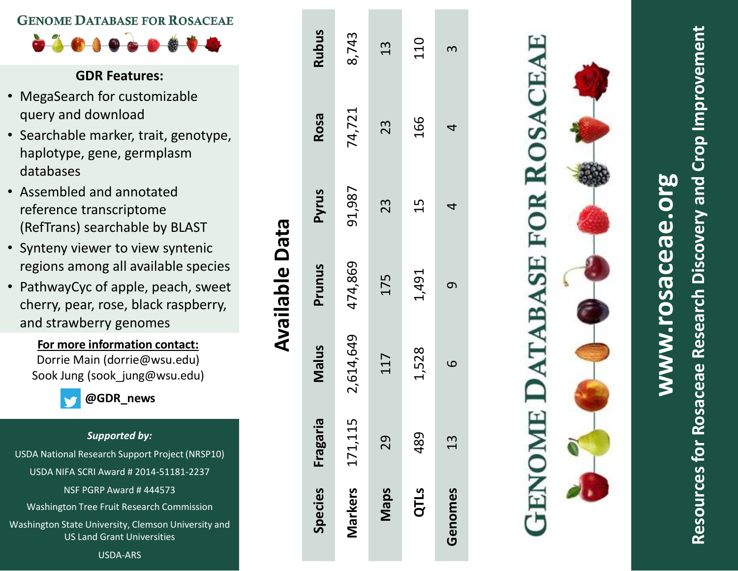## **GENOME DATABASE FOR ROSACEAE**

 $\bullet\textcolor{red}{\bullet}\textcolor{red}{\bullet}\textcolor{red}{\bullet}\textcolor{red}{\bullet}\textcolor{red}{\bullet}\textcolor{red}{\bullet}\textcolor{red}{\bullet}\textcolor{red}{\bullet}\textcolor{red}{\bullet}\textcolor{red}{\bullet}\textcolor{red}{\bullet}\textcolor{red}{\bullet}$ 

# **GDR Features:**

- MegaSearch for customizable query and download
- Searchable marker, trait, genotype, haplotype, gene, germplasm databases
- Assembled and annotated reference transcriptome (RefTrans) searchable by BLAST
- Synteny viewer to view syntenic regions among all available species
- PathwayCyc of apple, peach, sweet cherry, pear, rose, black raspberry, and strawberry genomes

**For more information contact:** D orrie Main (dorr ie@wsu. edu) Sook Jung (sook\_jung@wsu.edu)

**@GDR\_n e w s**

### *Supported by:*

USDA National Research Support Project (NRSP10) USDA NIFA SCRI Award # 2014 -51181 -2237

NSF PGRP Award # 444573

Washington Tree Fruit Research Commission

Washington State University, Clemson University and US Land Grant Universities

USDA -ARS

|                |               |             | <b>Available Data</b> |        |        |              |
|----------------|---------------|-------------|-----------------------|--------|--------|--------------|
| <b>Species</b> | Fragaria      | Nalus       | Prunus                | Pyrus  | Rosa   | <b>Rubus</b> |
| Markers        | 15<br>171,1   | 2,614,649   | 474,869               | 91,987 | 74,721 | 8,743        |
| <b>Maps</b>    | 29            | 117         | 175                   | 23     | 23     | 13           |
| QTLS           | 489           | 1,528       | 1,491                 | 15     | 166    | 110          |
| Genomes        | $\frac{3}{1}$ | $\mathbf 0$ | $\sigma$              | 4      | 4      | 3            |
|                |               |             |                       |        |        |              |

# **Resources for Rosaceae Research Discovery and Crop Improvement** Resources for Rosaceae Research Discovery and Crop Improvemen

# **www.rosaceae.org** rosaceae.or